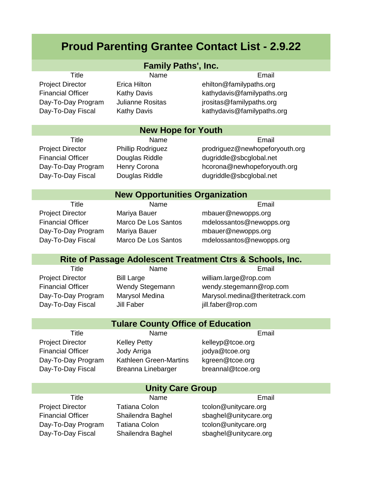# **Proud Parenting Grantee Contact List - 2.9.22**

| <b>Family Paths', Inc.</b>                                |                          |                                 |  |  |
|-----------------------------------------------------------|--------------------------|---------------------------------|--|--|
| <b>Title</b>                                              | Name                     | Email                           |  |  |
| <b>Project Director</b>                                   | <b>Erica Hilton</b>      | ehilton@familypaths.org         |  |  |
| <b>Financial Officer</b>                                  | Kathy Davis              | kathydavis@familypaths.org      |  |  |
| Day-To-Day Program                                        | Julianne Rositas         | jrositas@familypaths.org        |  |  |
| Day-To-Day Fiscal                                         | <b>Kathy Davis</b>       | kathydavis@familypaths.org      |  |  |
| <b>New Hope for Youth</b>                                 |                          |                                 |  |  |
| <b>Title</b>                                              | Name                     | Email                           |  |  |
| <b>Project Director</b>                                   | <b>Phillip Rodriguez</b> | prodriguez@newhopeforyouth.org  |  |  |
| <b>Financial Officer</b>                                  | Douglas Riddle           | dugriddle@sbcglobal.net         |  |  |
| Day-To-Day Program                                        | Henry Corona             | hcorona@newhopeforyouth.org     |  |  |
| Day-To-Day Fiscal                                         | Douglas Riddle           | dugriddle@sbcglobal.net         |  |  |
| <b>New Opportunities Organization</b>                     |                          |                                 |  |  |
| <b>Title</b>                                              | Name                     | Email                           |  |  |
| <b>Project Director</b>                                   | Mariya Bauer             | mbauer@newopps.org              |  |  |
| <b>Financial Officer</b>                                  | Marco De Los Santos      | mdelossantos@newopps.org        |  |  |
| Day-To-Day Program                                        | Mariya Bauer             | mbauer@newopps.org              |  |  |
| Day-To-Day Fiscal                                         | Marco De Los Santos      | mdelossantos@newopps.org        |  |  |
| Rite of Passage Adolescent Treatment Ctrs & Schools, Inc. |                          |                                 |  |  |
| <b>Title</b>                                              | Name                     | Email                           |  |  |
| <b>Project Director</b>                                   | <b>Bill Large</b>        | william.large@rop.com           |  |  |
| <b>Financial Officer</b>                                  | Wendy Stegemann          | wendy.stegemann@rop.com         |  |  |
| Day-To-Day Program                                        | Marysol Medina           | Marysol.medina@theritetrack.com |  |  |
| Day-To-Day Fiscal                                         | <b>Jill Faber</b>        | jill.faber@rop.com              |  |  |
| <b>Tulare County Office of Education</b>                  |                          |                                 |  |  |
| Title                                                     | Name                     | Email                           |  |  |
| <b>Project Director</b>                                   | <b>Kelley Petty</b>      | kelleyp@tcoe.org                |  |  |
| <b>Financial Officer</b>                                  | Jody Arriga              | jodya@tcoe.org                  |  |  |
| Day-To-Day Program                                        | Kathleen Green-Martins   | kgreen@tcoe.org                 |  |  |
| Day-To-Day Fiscal                                         | Breanna Linebarger       | breannal@tcoe.org               |  |  |
| <b>Unity Care Group</b>                                   |                          |                                 |  |  |
| <b>Title</b>                                              | Name                     | Email                           |  |  |
| <b>Project Director</b>                                   | <b>Tatiana Colon</b>     | tcolon@unitycare.org            |  |  |
| <b>Financial Officer</b>                                  | Shailendra Baghel        | sbaghel@unitycare.org           |  |  |